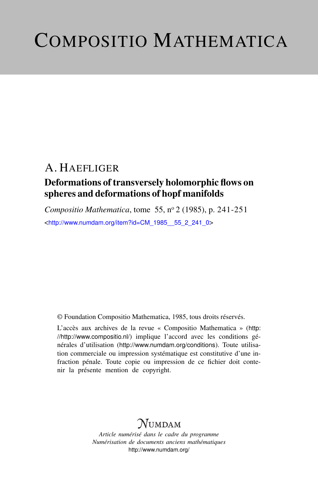# COMPOSITIO MATHEMATICA

## A. HAEFLIGER

### Deformations of transversely holomorphic flows on spheres and deformations of hopf manifolds

*Compositio Mathematica*, tome 55, n<sup>o</sup> 2 (1985), p. 241-251 <[http://www.numdam.org/item?id=CM\\_1985\\_\\_55\\_2\\_241\\_0](http://www.numdam.org/item?id=CM_1985__55_2_241_0)>

© Foundation Compositio Mathematica, 1985, tous droits réservés.

L'accès aux archives de la revue « Compositio Mathematica » ([http:](http://http://www.compositio.nl/) [//http://www.compositio.nl/](http://http://www.compositio.nl/)) implique l'accord avec les conditions générales d'utilisation (<http://www.numdam.org/conditions>). Toute utilisation commerciale ou impression systématique est constitutive d'une infraction pénale. Toute copie ou impression de ce fichier doit contenir la présente mention de copyright.

## **NUMDAM**

*Article numérisé dans le cadre du programme Numérisation de documents anciens mathématiques* <http://www.numdam.org/>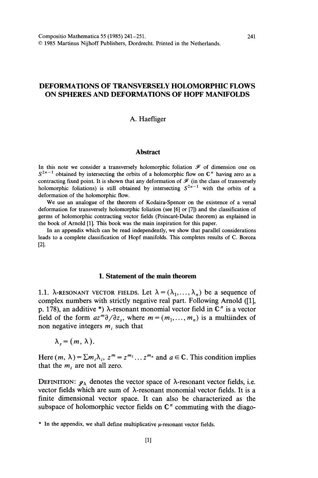#### DEFORMATIONS OF TRANSVERSELY HOLOMORPHIC FLOWS ON SPHERES AND DEFORMATIONS OF HOPF MANIFOLDS

#### A. Haefliger

#### **Abstract**

In this note we consider a transversely holomorphic foliation  $\mathcal F$  of dimension one on  $S^{2n-1}$  obtained by intersecting the orbits of a holomorphic flow on  $\mathbb{C}^n$  having zero as a contracting fixed point. It is shown that any deformation of  $\mathcal F$  (in the class of transversely holomorphic foliations) is still obtained by intersecting  $S^{2n-1}$  with the orbits of a deformation of the holomorphic flow.

We use an analogue of the theorem of Kodaira-Spencer on the existence of a versal deformation for transversely holomorphic foliation (see [6] or [7]) and the classification of germs of holomorphic contracting vector fields (Poincaré-Dulac theorem) as explained in the book of Arnold [1]. This book was the main inspiration for this paper.

In an appendix which can be read independently, we show that parallel considerations leads to a complete classification of Hopf manifolds. This completes results of C. Borcea [2].

#### 1. Statement of the main theorem

1.1.  $\lambda$ -RESONANT VECTOR FIELDS. Let  $\lambda = (\lambda_1, \ldots, \lambda_n)$  be a sequence of complex numbers with strictly negative real part. Following Arnold ([1], p. 178), an additive \*)  $\lambda$ -resonant monomial vector field in  $\mathbb{C}^n$  is a vector field of the form  $az^m\partial/\partial z_s$ , where  $m = (m_1, ..., m_n)$  is a multiindex of non negative integers  $m_i$  such that

 $\lambda_{s}=(m, \lambda).$ 

Here  $(m, \lambda) = \sum m_i \lambda_i$ ,  $z^m = z^{m_1} \dots z^{m_n}$  and  $a \in \mathbb{C}$ . This condition implies that the  $m_i$  are not all zero.

DEFINITION:  $g_{\lambda}$  denotes the vector space of  $\lambda$ -resonant vector fields, i.e. vector fields which are sum of  $\lambda$ -resonant monomial vector fields. It is a finite dimensional vector space. It can also be characterized as the subspace of holomorphic vector fields on  $\mathbb{C}^n$  commuting with the diago-

 $*$  In the appendix, we shall define multiplicative  $\mu$ -resonant vector fields.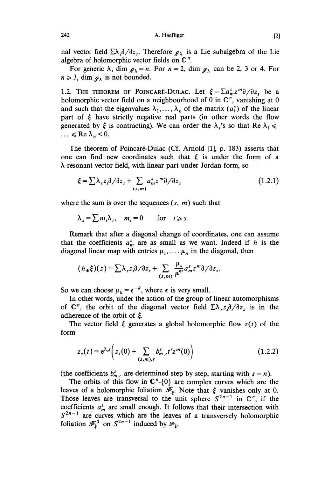A. Haefliger

nal vector field  $\sum \lambda_i \partial/\partial z_i$ . Therefore  $g_{\lambda}$  is a Lie subalgebra of the Lie algebra of holomorphic vector fields on  $\mathbb{C}^n$ .

For generic  $\lambda$ , dim  $g_{\lambda} = n$ . For  $n = 2$ , dim  $g_{\lambda}$  can be 2, 3 or 4. For  $n \geqslant 3$ , dim  $g_{\lambda}$  is not bounded.

1.2. THE THEOREM OF POINCARÉ-DULAC. Let  $\xi = \sum a_m^s z^m \partial/\partial z$ , be a holomorphic vector field on a neighbourhood of 0 in  $\mathbb{C}^n$ , vanishing at 0 and such that the eigenvalues  $\lambda_1, \ldots, \lambda_n$  of the matrix  $(a_i)$  of the linear part of  $\xi$  have strictly negative real parts (in other words the flow generated by  $\xi$  is contracting). We can order the  $\lambda_i$ 's so that Re  $\lambda_1 \le \dots \le$  Re  $\lambda_n < 0$ .

The theorem of Poincaré-Dulac (Cf. Arnold [1], p. 183) asserts that one can find new coordinates such that  $\xi$  is under the form of a À-resonant vector field, with linear part under Jordan form, so

$$
\xi = \sum \lambda_s z_s \partial / \partial z_s + \sum_{(s,m)} a_m^s z^m \partial / \partial z_s \tag{1.2.1}
$$

where the sum is over the sequences  $(s, m)$  such that

$$
\lambda_s = \sum m_i \lambda_i, \quad m_i = 0 \quad \text{for} \quad i \geq s.
$$

Remark that after a diagonal change of coordinates, one can assume that the coefficients  $a_m^s$  are as small as we want. Indeed if h is the diagonal linear map with entries  $\mu_1, \ldots, \mu_n$  in the diagonal, then

$$
(h_*\xi)(z) = \sum \lambda_{s} z_s \partial/\partial z_s + \sum_{(s,m)} \frac{\mu_s}{\mu^m} a_m^s z^m \partial/\partial z_s.
$$

So we can choose  $\mu_k = \epsilon^{-k}$ , where  $\epsilon$  is very small.

In other words, under the action of the group of linear automorphisms of  $\mathbb{C}^n$ , the orbit of the diagonal vector field  $\sum_{\alpha} \frac{\partial}{\partial z_\alpha}$  is in the adherence of the orbit of  $\xi$ .

The vector field  $\xi$  generates a global holomorphic flow  $z(t)$  of the form

$$
z_s(t) = e^{\lambda_s t} \bigg( z_s(0) + \sum_{(s,m),r} b_{m,r}^s t^r z^m(0) \bigg) \tag{1.2.2}
$$

(the coefficients  $b_{m,r}^s$  are determined step by step, starting with  $s = n$ ).

The orbits of this flow in  $\mathbb{C}^n$ -{0} are complex curves which are the leaves of a holomorphic foliation  $\mathscr{F}_{\xi}$ . Note that  $\xi$  vanishes only at 0. Those leaves are transversal to the unit sphere  $S^{2n-1}$  in  $\mathbb{C}^n$ , if the coefficients  $a_m^s$  are small enough. It follows that their intersection with  $S^{2n-1}$  are curves which are the leaves of a transversely holomorphic foliation  $\mathscr{F}_{\xi}^{\circ}$  on  $S^{2n-1}$  induced by  $\mathscr{F}_{\xi}$ .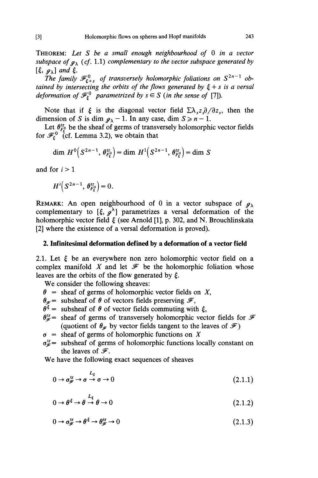THEOREM: Let S be a small enough neighbourhood of 0 in a vector subspace of  $g_{\lambda}$  (cf. 1.1) complementary to the vector subspace generated by  $\lbrack \xi, \, g_{\lambda} \rbrack$  and  $\xi$ .

The family  $\mathscr{F}_{\xi+s}$  of transversely holomorphic foliations on  $S^{2n-1}$  obtained by intersecting the orbits of the flows generated by  $\xi + s$  is a versal deformation of  $\mathcal{F}_{\xi}^{0}$  parametrized by  $s \in S$  (in the sense of [7]).

Note that if  $\xi$  is the diagonal vector field  $\sum_{n} \lambda_{s} z_{s} \partial / \partial z_{s}$ , then the dimension of S is dim  $g_{\lambda} - 1$ . In any case, dim  $S \ge n - 1$ .

Let  $\theta_{F}^{\text{tr}}$  be the sheaf of germs of transversely holomorphic vector fields for  $\mathcal{F}_{k}^{0}$  (cf. Lemma 3.2), we obtain that

$$
\dim H^0\big(S^{2n-1},\,\theta_{F^s_{\varepsilon}}^{\text{tr}}\big)=\dim H^1\big(S^{2n-1},\,\theta_{F^s_{\varepsilon}}^{\text{tr}}\big)=\dim S
$$

and for  $i > 1$ 

$$
H^i\big(S^{2n-1},\,\theta_{F^0_{\xi}}^{\text{tr}}\big)=0.
$$

REMARK: An open neighbourhood of 0 in a vector subspace of  $g_{\lambda}$ complementary to  $\left[\xi, g^{\lambda}\right]$  parametrizes a versal deformation of the holomorphic vector field  $\xi$  (see Arnold [1], p. 302, and N. Brouchlinskaia [2] where the existence of a versal deformation is proved).

#### 2. Infinitesimal deformation defined by a deformation of a vector field

2.1. Let  $\xi$  be an everywhere non zero holomorphic vector field on a complex manifold X and let  $\mathcal F$  be the holomorphic foliation whose leaves are the orbits of the flow generated by  $\xi$ .

We consider the following sheaves:

- $\theta$  = sheaf of germs of holomorphic vector fields on X,
- $\theta_{\mathscr{F}}$  = subsheaf of  $\theta$  of vectors fields preserving  $\mathscr{F}$ ,
- $\theta^{\xi}$  = subsheaf of  $\theta$  of vector fields commuting with  $\xi$ ,
- $\theta_{\mathscr{F}}^{\text{tr}}=$  sheaf of germs of transversely holomorphic vector fields for  $\mathscr{F}$  (quotient of  $\theta_{\mathscr{F}}$  by vector fields tangent to the leaves of  $\mathscr{F}$ )
- $\sigma$  = sheaf of germs of holomorphic functions on X
- $\sigma_{\mathscr{F}}^{\text{tr}}=$  subsheaf of germs of holomorphic functions locally constant on the leaves of  $\mathcal{F}$ .

We have the following exact sequences of sheaves

$$
0 \to \sigma_{\mathscr{F}}^{\text{tr}} \to \sigma \to \sigma \to 0 \tag{2.1.1}
$$

$$
0 \to \theta^{\xi} \to \theta \to \theta \to 0 \tag{2.1.2}
$$

$$
0 \to \sigma_{\mathscr{F}}^{\text{tr}} \to \theta^{\xi} \to \theta_{\mathscr{F}}^{\text{tr}} \to 0 \tag{2.1.3}
$$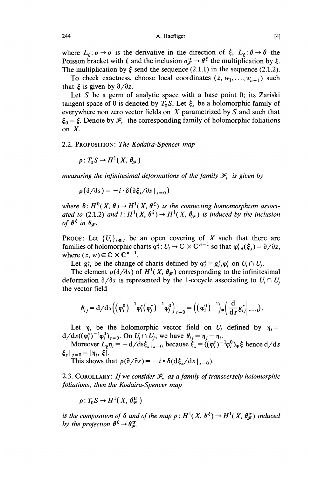where  $L_{\xi}$ :  $\sigma \rightarrow \sigma$  is the derivative in the direction of  $\xi$ ,  $L_{\xi}$ :  $\theta \rightarrow \theta$  the Poisson bracket with  $\xi$  and the inclusion  $\sigma_{\xi}^{\text{tr}} \rightarrow \theta^{\xi}$  the multiplication by  $\xi$ . The multiplication by  $\xi$  send the sequence (2.1.1) in the sequence (2.1.2).

To check exactness, choose local coordinates  $(z, w_1, \ldots, w_{n-1})$  such that  $\xi$  is given by  $\partial/\partial z$ .

Let  $S$  be a germ of analytic space with a base point 0; its Zariski tangent space of 0 is denoted by  $T_0S$ . Let  $\xi_s$  be a holomorphic family of everywhere non zero vector fields on  $X$  parametrized by  $S$  and such that  $\xi_0 = \xi$ . Denote by  $\mathcal{F}_s$  the corresponding family of holomorphic foliations on  $X$ .

#### 2.2. PROPOSITION: The Kodaira-Spencer map

 $\rho: T_0S \to H^1(X, \theta_{\mathscr{F}})$ 

measuring the infinitesimal deformations of the family  $\mathcal{F}_s$  is given by

 $\rho(\partial/\partial s) = -i \cdot \delta(\partial \xi / \partial s |_{s=0})$ 

where  $\delta: H^0(X, \theta) \to H^1(X, \theta^{\xi})$  is the connecting homomorphism associated to (2.1.2) and  $i: H^1(X, \theta^{\xi}) \to H^1(X, \theta_{\varphi})$  is induced by the inclusion of  $\theta^{\xi}$  in  $\theta_{\varphi}$ .

**PROOF:** Let  $\{U_i\}_{i\in I}$  be an open covering of X such that there are families of holomorphic charts  $\varphi_i^s: U_i \to \mathbb{C} \times \mathbb{C}^{n-1}$  so that  $\varphi_i^s_{\ast}(\xi_s) = \partial/\partial z$ , where  $(z, w) \in \mathbb{C} \times \mathbb{C}^{n-1}$ .

Let  $g_{ii}^s$  be the change of charts defined by  $\varphi_i^s = g_{ii}^s \varphi_i^s$  on  $U_i \cap U_j$ .

The element  $\rho(\partial/\partial s)$  of  $H^1(X, \theta_{\mathscr{F}})$  corresponding to the infinitesimal deformation  $\partial/\partial s$  is represented by the 1-cocycle associating to  $U_i \cap U_i$ the vector field

$$
\theta_{ij} = d/ds \Big( \Big( \varphi_i^0 \Big)^{-1} \varphi_i^s \Big( \varphi_j^s \Big)^{-1} \varphi_j^0 \Big)_{s=0} = \Big( \Big( \varphi_i^0 \Big)^{-1} \Big)_* \Big( \frac{d}{ds} g_{ij}^s \Big|_{s=0} \Big).
$$

Let  $\eta_i$  be the holomorphic vector field on  $U_i$  defined by  $\eta_i =$  $d/ds((\varphi_i^s)^{-1}\varphi_i^0)_{s=0}$ . On  $U_i \cap U_j$ , we have  $\theta_{ij} = \eta_j - \eta_i$ .

Moreover  $L_{\xi} \eta_i = -d/ds \xi_s|_{s=0}$  because  $\xi_s = ((\varphi_i^s)^{-1} \varphi_i^0)_* \xi$  hence  $d/ds$  $\xi_s |_{s=0} = [\eta_i, \xi].$ 

This shows that  $\rho(\partial/\partial s) = -i \circ \delta(\partial \xi_s/ds|_{s=0}).$ 

2.3. COROLLARY: If we consider  $\mathcal{F}_s$  as a family of transversely holomorphic foliations, then the Kodaira-Spencer map

 $\rho: T_0S \to H^1(X, \theta_{\varphi}^{\text{tr}})$ 

is the composition of  $\delta$  and of the map  $p : H^1(X, \theta^{\xi}) \to H^1(X, \theta^{\text{tr}})$  induced by the projection  $\theta^{\xi} \rightarrow \theta_{\varphi}^{\text{tr}}$ .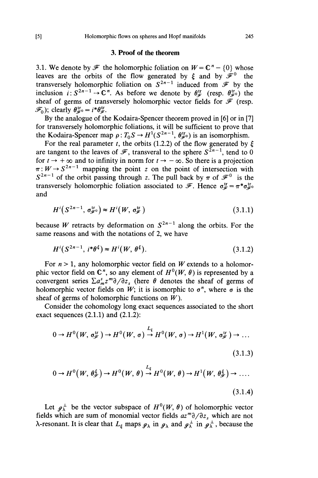#### 3. Proof of the theorem

3.1. We denote by  $\mathcal F$  the holomorphic foliation on  $W = \mathbb C^n - \{0\}$  whose leaves are the orbits of the flow generated by  $\xi$  and by  $\mathscr{F}^0$  the transversely holomorphic foliation on  $S^{2n-1}$  induced from  $\mathscr F$  by the inclusion  $i: S^{2n-1} \to \mathbb{C}^n$ . As before we denote by  $\theta_{\mathscr{F}}^{tr}$  (resp.  $\theta_{\mathscr{F}}^{tr}$ ) the sheaf of germs of transversely holomorphic vector fields for  $\mathcal F$  (resp.  $\mathscr{F}_0$ ); clearly  $\theta_{\mathscr{F}}^{\text{tr}} = i^* \theta_{\mathscr{F}}^{\text{tr}}$ .

By the analogue of the Kodaira-Spencer theorem proved in [6] or in [7] for transversely holomorphic foliations, it will be sufficient to prove that the Kodaira-Spencer map  $\rho: T_0S \to H^1(S^{2n-1}, \theta_{\mathscr{F}}^{tr})$  is an isomorphism.

For the real parameter t, the orbits (1.2.2) of the flow generated by  $\xi$ are tangent to the leaves of  $\mathcal F$ , transveral to the sphere  $S^{2n-1}$ , tend to 0 for  $t \to +\infty$  and to infinity in norm for  $t \to -\infty$ . So there is a projection  $\pi : W \to S^{2n-1}$  mapping the point z on the point of intersection with  $S^{2n-1}$  of the orbit passing through z. The pull back by  $\pi$  of  $\mathcal{F}^0$  is the transversely holomorphic foliation associated to  $\mathscr{F}$ . Hence  $\sigma_{\mathscr{F}}^{\text{tr}} = \pi^* \sigma_{\mathscr{F}}^{\text{tr}}$ and

$$
H^{i}(S^{2n-1}, \sigma_{\mathscr{F}^{0}}^{\text{tr}}) \approx H^{i}(W, \sigma_{\mathscr{F}}^{\text{tr}})
$$
\n(3.1.1)

because W retracts by deformation on  $S^{2n-1}$  along the orbits. For the same reasons and with the notations of 2, we have

$$
H^{i}(S^{2n-1}, i^{\ast}\theta^{\xi}) \approx H^{i}(W, \theta^{\xi}).
$$
\n(3.1.2)

For  $n > 1$ , any holomorphic vector field on W extends to a holomorphic vector field on  $\mathbb{C}^n$ , so any element of  $H^0(W, \theta)$  is represented by a convergent series  $\sum a_m^s z^m \partial/\partial z_s$ , (here  $\theta$  denotes the sheaf of germs of holomorphic vector fields on W; it is isomorphic to  $\sigma^n$ , where  $\sigma$  is the sheaf of germs of holomorphic functions on  $W$ ).

Consider the cohomology long exact sequences associated to the short exact sequences  $(2.1.1)$  and  $(2.1.2)$ :

$$
0 \to H^0(W, \sigma_{\mathscr{F}}^{\text{tr}}) \to H^0(W, \sigma) \stackrel{L_{\varepsilon}}{\to} H^0(W, \sigma) \to H^1(W, \sigma_{\mathscr{F}}^{\text{tr}}) \to \dots
$$
\n(3.1.3)

$$
0 \to H^0(W, \theta_{\mathscr{F}}^{\xi}) \to H^0(W, \theta) \stackrel{L_{\xi}}{\to} H^0(W, \theta) \to H^1(W, \theta_{\mathscr{F}}^{\xi}) \to \dots
$$
\n(3.1.4)

Let  $\mathfrak{g}_{\lambda}^{\perp}$  be the vector subspace of  $H^{0}(W, \theta)$  of holomorphic vector fields which are sum of monomial vector fields  $az^m\partial/\partial z$ , which are not  $\lambda$ -resonant. It is clear that  $L_{\xi}$  maps  $g_{\lambda}$  in  $g_{\lambda}$  and  $g_{\lambda}^{\perp}$  in  $g_{\lambda}^{\perp}$ , because the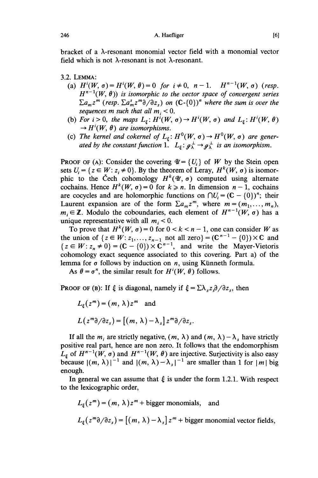bracket of a À-resonant monomial vector field with a monomial vector field which is not  $\lambda$ -resonant is not  $\lambda$ -resonant.

- 3.2. LEMMA :
	- (a)  $H^{i}(W, \sigma) = H^{i}(W, \theta) = 0$  for  $i \neq 0$ ,  $n 1$ .  $H^{n-1}(W, \sigma)$  (resp.  $H^{n-1}(W, \theta)$ ) is isomorphic to the vector space of convergent series  $\sum a_m z^m$  (resp.  $\sum a_m^s z^m \partial/\partial z_s$ ) on  $(\mathbb{C} - \{0\})^n$  where the sum is over the sequences m such that all  $m_i < 0$ .
	- (b) For  $i > 0$ , the maps  $L_{\xi} : H^{i}(W, \sigma) \to H^{i}(W, \sigma)$  and  $L_{\xi} : H^{i}(W, \theta)$  $\rightarrow$  H<sup>i</sup>(W,  $\theta$ ) are isomorphisms.
	- (c) The kernel and cokernel of  $L_{\xi}$ :  $H^{0}(W, \sigma) \rightarrow H^{0}(W, \sigma)$  are generated by the constant function 1.  $L_{\varepsilon}: g_{\lambda}^{\perp} \to g_{\lambda}^{\perp}$  is an isomorphism.

**PROOF OF (A):** Consider the covering  $\mathcal{U} = \{U_i\}$  of W by the Stein open sets  $U_i = \{z \in W : z_i \neq 0\}$ . By the theorem of Leray,  $H^k(W, \sigma)$  is isomorphic to the Čech cohomology  $H^k(\mathcal{U}, \sigma)$  computed using alternate cochains. Hence  $H^k(W, \sigma) = 0$  for  $k \ge n$ . In dimension  $n - 1$ , cochains are cocycles and are holomorphic functions on  $\bigcap U_i = (\mathbb{C} - \{0\})^n$ ; their Laurent expansion are of the form  $\sum a_m z^m$ , where  $m = (m_1, \ldots, m_n)$ ,  $m_i \in \mathbb{Z}$ . Modulo the coboundaries, each element of  $H^{n-1}(W, \sigma)$  has a unique representative with all  $m_i < 0$ .

To prove that  $H^k(W, \sigma) = 0$  for  $0 < k < n - 1$ , one can consider W as the union of  $\{z \in W : z_1, \ldots, z_{n-1} \text{ not all zero}\} = (\mathbb{C}^{n-1} - \{0\}) \times \mathbb{C}$  and  ${z \in W : z_n \neq 0} = (C - (0)) \times C^{n-1}$ , and write the Mayer-Vietoris cohomology exact sequence associated to this covering. Part a) of the lemma for  $\sigma$  follows by induction on  $n$ , using Künneth formula.

As  $\theta = \sigma^n$ , the similar result for  $H^i(W, \theta)$  follows.

**PROOF OF (B):** If  $\xi$  is diagonal, namely if  $\xi = \sum \lambda_{1} \partial \partial \partial z_{1}$ , then

$$
L_{\xi}(z^m) = (m, \lambda) z^m \text{ and}
$$
  

$$
L(z^m \partial/\partial z_s) = [(m, \lambda) - \lambda_s] z^m \partial/\partial z_s.
$$

If all the  $m_i$  are strictly negative,  $(m, \lambda)$  and  $(m, \lambda) - \lambda_s$  have strictly positive real part, hence are non zero. It follows that the endomorphism  $L_{\xi}$  of  $H^{n-1}(W, \sigma)$  and  $H^{n-1}(W, \theta)$  are injective. Surjectivity is also easy because  $|(m, \lambda)|^{-1}$  and  $|(m, \lambda)-\lambda_s|^{-1}$  are smaller than 1 for  $|m|$  big enough.

In general we can assume that  $\xi$  is under the form 1.2.1. With respect to the lexicographic order,

$$
L_{\xi}(z^m) = (m, \lambda) z^m + \text{bigger monomials}, \text{ and}
$$
  

$$
L_{\xi}(z^m \partial/\partial z_s) = [(m, \lambda) - \lambda_s] z^m + \text{bigger monomial vector fields},
$$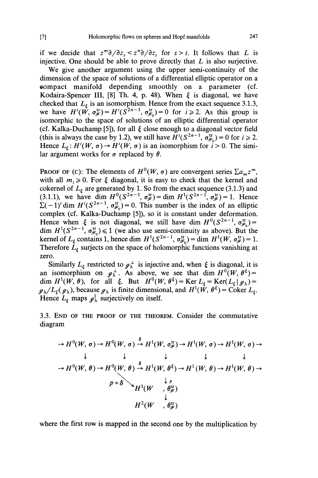if we decide that  $z^m\partial/\partial z_s < z^n\partial/\partial z_t$  for  $s > t$ . It follows that L is injective. One should be able to prove directly that  $L$  is also surjective.

We give another argument using the upper semi-continuity of the dimension of the space of solutions of a differential elliptic operator on a eompact manifold depending smoothly on a parameter (cf. Kodaira-Spencer III, [8] Th. 4, p. 48). When  $\xi$  is diagonal, we have checked that  $L_{\xi}$  is an isomorphism. Hence from the exact sequence 3.1.3, we have  $H^i(W, \sigma_{\mathscr{F}}^{ir}) = H^i(S^{2n-1}, \sigma_{\mathscr{F}_0}^{ir}) = 0$  for  $i \geq 2$ . As this group is isomorphic to the space of solutions of an elliptic differential operator (cf. Kalka-Duchamp [5]), for all  $\xi$  close enough to a diagonal vector field (this is always the case by 1.2), we still have  $H^i(S^{2n-1}, \sigma_{\mathscr{F}_0}^{\text{tr}}) = 0$  for  $i \ge 2$ . Hence  $L_{\varepsilon}: H^{i}(W, \sigma) \to H^{i}(W, \sigma)$  is an isomorphism for  $i > 0$ . The similar argument works for  $\sigma$  replaced by  $\theta$ .

PROOF OF (c): The elements of  $H^0(W, \sigma)$  are convergent series  $\sum a_m z^m$ , with all  $m_i \ge 0$ . For  $\xi$  diagonal, it is easy to check that the kernel and cokernel of  $L_{\xi}$  are generated by 1. So from the exact sequence (3.1.3) and (3.1.1), we have dim  $H^0(S^{2n-1}, \sigma_{\mathscr{F}}^{\text{tr}}) = \dim H^1(S^{2n-1}, \sigma_{\mathscr{F}}^{\text{tr}}) = 1$ . Hence  $\sum (-1)^i \dim H^i(S^{2n-1}, \sigma_{\mathscr{F}_0}^{\text{tr}}) = 0$ . This number is the index of an elliptic complex (cf. Kalka-Duchamp [5]), so it is constant under deformation. Hence when  $\xi$  is not diagonal, we still have dim  $H^0(S^{2n-1}, \sigma_{\mathscr{F}_0}^{\text{tr}}) =$ dim  $H^1(S^{2n-1}, \sigma_{\mathscr{F}_0}^{\text{tr}}) \leq 1$  (we also use semi-continuity as above). But the kernel of  $L_{\xi}$  contains 1, hence dim  $H^{1}(S^{2n-1}, \sigma_{\xi}^{u}) = \dim H^{1}(W, \sigma_{\xi}^{u}) = 1.$ Therefore  $\dot{L}_{\xi}$  surjects on the space of holomorphic functions vanishing at zero.

Similarly  $L_{\xi}$  restricted to  $\mathfrak{g}_{\lambda}^{\perp}$  is injective and, when  $\xi$  is diagonal, it is an isomorphism on  $g_{\lambda}^{\perp}$ . As above, we see that dim  $H^0(W, \theta^{\xi}) =$ dim  $H^1(W, \theta)$ , for all  $\xi$ . But  $H^0(W, \theta^{\xi}) = \text{Ker } L_{\xi} = \text{Ker}(L_{\xi} | g_{\lambda}) =$  $g_{\lambda}/L_{\xi}(g_{\lambda})$ , because  $g_{\lambda}$  is finite dimensional, and  $H^1(\dot{W}, \theta^{\xi}) = \text{Coker } L_{\xi}$ . Hence  $L_{\varepsilon}$  maps  $g^1_{\lambda}$  surjectively on itself.

3.3. END OF THE PROOF OF THE THEOREM. Consider the commutative diagram

$$
\rightarrow H^{0}(W, \sigma) \rightarrow H^{0}(W, \sigma) \stackrel{\circ}{\rightarrow} H^{1}(W, \sigma_{\mathscr{F}}^{\text{tr}}) \rightarrow H^{1}(W, \sigma) \rightarrow H^{1}(W, \sigma) \rightarrow
$$
  
\n
$$
\downarrow \qquad \qquad \downarrow \qquad \qquad \downarrow \qquad \qquad \downarrow \qquad \qquad \downarrow
$$
  
\n
$$
\rightarrow H^{0}(W, \theta) \rightarrow H^{0}(W, \theta) \stackrel{\delta}{\rightarrow} H^{1}(W, \theta^{\xi}) \rightarrow H^{1}(W, \theta) \rightarrow H^{1}(W, \theta) \rightarrow
$$
  
\n
$$
P \circ \delta \qquad H^{1}(W \quad , \theta_{\mathscr{F}}^{\text{tr}})
$$
  
\n
$$
H^{2}(W \quad , \theta_{\mathscr{F}}^{\text{tr}})
$$

where the first row is mapped in the second one by the multiplication by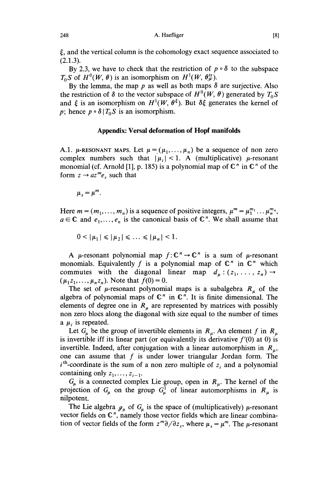$\xi$ , and the vertical column is the cohomology exact sequence associated to  $(2.1.3)$ .

By 2.3, we have to check that the restriction of  $p \circ \delta$  to the subspace  $T_0S$  of  $H^0(W, \theta)$  is an isomorphism on  $H^1(W, \theta_*^{\text{tr}})$ .

By the lemma, the map p as well as both maps  $\delta$  are surjective. Also the restriction of  $\delta$  to the vector subspace of  $H^0(W, \theta)$  generated by  $T_0 S$ and  $\xi$  is an isomorphism on  $H^1(W, \theta^{\xi})$ . But  $\delta \xi$  generates the kernel of p; hence  $p \circ \delta | T_0 S$  is an isomorphism.

#### Appendix: Versal déformation of Hopf manifolds

A.1.  $\mu$ -RESONANT MAPS. Let  $\mu = (\mu_1, \ldots, \mu_n)$  be a sequence of non zero complex numbers such that  $|\mu_i| < 1$ . A (multiplicative)  $\mu$ -resonant monomial (cf. Arnold [1], p. 185) is a polynomial map of  $\mathbb{C}^n$  in  $\mathbb{C}^n$  of the form  $z \rightarrow a z^m e_s$  such that

 $\mu_{s} = \mu^{m}$ .

Here  $m = (m_1, \ldots, m_n)$  is a sequence of positive integers,  $\mu^m = \mu_1^{m_1} \ldots \mu_n^{m_n}$ ,  $a \in \mathbb{C}$  and  $e_1, \ldots, e_n$  is the canonical basis of  $\mathbb{C}^n$ . We shall assume that

 $0 < |\mu_1| \leq |\mu_2| \leq \ldots \leq |\mu_n| < 1.$ 

A  $\mu$ -resonant polynomial map  $f: \mathbb{C}^n \to \mathbb{C}^n$  is a sum of  $\mu$ -resonant monomials. Equivalently f is a polynomial map of  $\mathbb{C}^n$  in  $\mathbb{C}^n$  which commutes with the diagonal linear map  $d_{\mu}$ :  $(z_1, \ldots, z_n) \rightarrow$  $(\mu_1 z_1, ..., \mu_n z_n)$ . Note that  $f(0) = 0$ .

The set of  $\mu$ -resonant polynomial maps is a subalgebra  $R_{\mu}$  of the algebra of polynomial maps of  $\mathbb{C}^n$  in  $\mathbb{C}^n$ . It is finite dimensional. The elements of degree one in  $R_{\mu}$  are represented by matrices with possibly non zero blocs along the diagonal with size equal to the number of times a  $\mu_i$  is repeated.

Let  $G_{\mu}$  be the group of invertible elements in  $R_{\mu}$ . An element f in  $R_{\mu}$ is invertible iff its linear part (or equivalently its derivative  $f'(0)$  at 0) is invertible. Indeed, after conjugation with a linear automorphism in  $R_{\mu}$ , one can assume that  $f$  is under lower triangular Jordan form. The  $i<sup>th</sup>$ -coordinate is the sum of a non zero multiple of  $z_i$  and a polynomial containing only  $z_1, \ldots, z_{i-1}$ .

 $G_{\mu}$  is a connected complex Lie group, open in  $R_{\mu}$ . The kernel of the projection of  $G_{\mu}$  on the group  $G_{\mu}^1$  of linear automorphisms in  $R_{\mu}$  is nilpotent.

The Lie algebra  $g_{\mu}$  of  $G_{\mu}$  is the space of (multiplicatively)  $\mu$ -resonant vector fields on  $\mathbb{C}^n$ , namely those vector fields which are linear combination of vector fields of the form  $z^m\partial/\partial z_s$ , where  $\mu_s = \mu^m$ . The  $\mu$ -resonant

248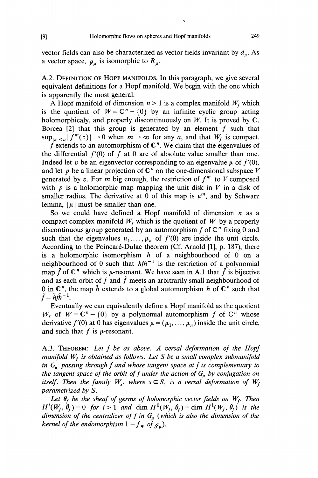vector fields can also be characterized as vector fields invariant by  $d<sub>u</sub>$ . As a vector space,  $g_{\mu}$  is isomorphic to  $R_{\mu}$ .

A.2. DEFINITION OF HOPF MANIFOLDS. In this paragraph, we give several equivalent definitions for a Hopf manifold. We begin with the one which is apparently the most general.

A Hopf manifold of dimension  $n > 1$  is a complex manifold  $W_f$  which is the quotient of  $W = \mathbb{C}^n - \{0\}$  by an infinite cyclic group acting holomorphicaly, and properly discontinuously on  $W$ . It is proved by  $\mathbb{C}$ . Borcea  $[2]$  that this group is generated by an element f such that  $\sup_{|z| \le a} |f^m(z)| \to 0$  when  $m \to \infty$  for any a, and that  $W_f$  is compact.

f extends to an automorphism of  $\mathbb{C}^n$ . We claim that the eigenvalues of the differential  $f'(0)$  of f at 0 are of absolute value smaller than one. Indeed let v be an eigenvector corresponding to an eigenvalue  $\mu$  of  $f'(0)$ , and let p be a linear projection of  $\mathbb{C}^n$  on the one-dimensional subspace V generated by v. For m big enough, the restriction of  $f<sup>m</sup>$  to V composed with  $p$  is a holomorphic map mapping the unit disk in  $V$  in a disk of smaller radius. The derivative at 0 of this map is  $\mu^m$ , and by Schwarz lemma,  $|\mu|$  must be smaller than one.

So we could have defined a Hopf manifold of dimension  $n$  as a compact complex manifold  $W_f$  which is the quotient of W by a properly discontinuous group generated by an automorphism  $f$  of  $\mathbb{C}^n$  fixing 0 and such that the eigenvalues  $\mu_1, \ldots, \mu_n$  of  $f'(0)$  are inside the unit circle. According to the Poincaré-Dulac theorem (Cf. Arnold [1], p. 187), there is a holomorphic isomorphism  $h$  of a neighbourhood of 0 on a neighbourhood of 0 such that  $h f h^{-1}$  is the restriction of a polynomial map  $\tilde{f}$  of  $\mathbb{C}^n$  which is  $\mu$ -resonant. We have seen in A.1 that  $\tilde{f}$  is bijective and as each orbit of f and  $\tilde{f}$  meets an arbitrarily small neighbourhood of 0 in  $\mathbb{C}^n$ , the map  $\tilde{h}$  extends to a global automorphism h of  $\mathbb{C}^n$  such that  $\tilde{f}=\tilde{h}f\tilde{h}^{-1}.$ 

Eventually we can equivalently define a Hopf manifold as the quotient  $W_f$  of  $W = \mathbb{C}^n - \{0\}$  by a polynomial automorphism f of  $\mathbb{C}^n$  whose derivative  $f'(0)$  at 0 has eigenvalues  $\mu = (\mu_1, \ldots, \mu_n)$  inside the unit circle, and such that  $f$  is  $\mu$ -resonant.

A.3. THEOREM: Let  $f$  be as above. A versal deformation of the Hopf manifold  $W_f$  is obtained as follows. Let S be a small complex submanifold in  $G_{\mu}$  passing through f and whose tangent space at f is complementary to the tangent space of the orbit of f under the action of  $G_{\mu}$  by conjugation on itself. Then the family  $W_s$ , where  $s \in S$ , is a versal deformation of  $W_f$ parametrized by S.

Let  $\theta_f$  be the sheaf of germs of holomorphic vector fields on  $W_f$ . Then  $H^{i}(W_f, \theta_f) = 0$  for  $i > 1$  and dim  $H^0(W_f, \theta_f) = \dim H^1(W_f, \theta_f)$  is the dimension of the centralizer of f in  $G_{\mu}$  (which is also the dimension of the kernel of the endomorphism  $1 - f_*$  of  $g_{\mu}$ ).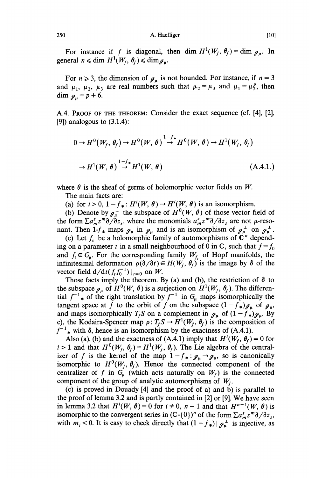A. Haefliger

For instance if f is diagonal, then dim  $H^1(W_f, \theta_f) = \dim \mathcal{G}_u$ . In general  $n \leq \dim H^1(W_f, \theta_f) \leq \dim \mathcal{G}_u$ .

For  $n \ge 3$ , the dimension of  $g_n$  is not bounded. For instance, if  $n = 3$ and  $\mu_1$ ,  $\mu_2$ ,  $\mu_3$  are real numbers such that  $\mu_2 = \mu_3$  and  $\mu_1 = \mu_2^p$ , then dim  $g_u = p + 6$ .

A.4. PROOF OF THE THEOREM: Consider the exact sequence (cf. [4], [2], [9]) analogous to  $(3.1.4)$ :

$$
0 \to H^0(W_f, \theta_f) \to H^0(W, \theta) \stackrel{1-f_*}{\to} H^0(W, \theta) \to H^1(W_f, \theta_f)
$$
  

$$
\to H^1(W, \theta) \stackrel{1-f_*}{\to} H^1(W, \theta)
$$
(A.4.1.)

where  $\theta$  is the sheaf of germs of holomorphic vector fields on W.

The main facts are:

(a) for  $i > 0$ ,  $1 - f_* : H^i(W, \theta) \to H^i(W, \theta)$  is an isomorphism.

(b) Denote by  $g^{\perp}_{\mu}$  the subspace of  $H^0(W, \theta)$  of those vector field of the form  $\sum a_m^s z^m \partial \overline{\partial} z_s$ , where the monomials  $a_m^s z^m \partial \overline{\partial} z_s$  are not  $\mu$ -resonant. Then  $1-f_*$  maps  $g_\mu$  in  $g_\mu$  and is an isomorphism of  $g_\mu^{\perp}$  on  $g_\mu^{\perp}$ .

(c) Let  $f_s$  be a holomorphic family of automorphisms of  $\mathbb{C}^n$  depending on a parameter t in a small neighbourhood of 0 in C, such that  $f = f_0$ and  $f_t \in G_\mu$ . For the corresponding family  $W_{f_t}$  of Hopf manifolds, the infinitesimal deformation  $\rho(\partial/\partial t) \in H(W_f, \theta_f)$  is the image by  $\delta$  of the vector field  $d/dt(f_t f_0^{-1})|_{t=0}$  on W.

Those facts imply the theorem. By (a) and (b), the restriction of  $\delta$  to the subspace  $g_{\mu}$  of  $H^0(W, \theta)$  is a surjection on  $H^1(W_f, \theta_f)$ . The differential  $f^{-1}$  of the right translation by  $f^{-1}$  in  $G_{\mu}$  maps isomorphically the tangent space at f to the orbit of f on the subspace  $(1 - f_{\ast})g_{\mu}$  of  $g_{\mu}$ , and maps isomorphically  $T_fS$  on a complement in  $g_\mu$  of  $(1 - f_\ast)g_\mu$ . By c), the Kodaira-Spencer map  $\rho: T_fS \to H^1(W_f, \theta_f)$  is the composition of  $f^{-1}$  with  $\delta$ , hence is an isomorphism by the exactness of (A.4.1).

Also (a), (b) and the exactness of (A.4.1) imply that  $H^{i}(W_{f}, \theta_{f}) = 0$  for  $i > 1$  and that  $H^0(W_f, \theta_f) = H^1(W_f, \theta_f)$ . The Lie algebra of the centralizer of f is the kernel of the map  $1 - f_* : \mathcal{J}_{\mu} \to \mathcal{J}_{\mu}$ , so is canonically isomorphic to  $H^0(W_f, \theta_f)$ . Hence the connected component of the centralizer of f in  $G_a$  (which acts naturally on  $W_f$ ) is the connected component of the group of analytic automorphisms of  $W_f$ .

(c) is proved in Douady [4] and the proof of a) and b) is parallel to the proof of lemma 3.2 and is partly contained in [2] or [9]. We have seen in lemma 3.2 that  $H'(W, \theta) = 0$  for  $i \neq 0$ ,  $n - 1$  and that  $H^{n-1}(W, \theta)$  is isomorphic to the convergent series in  $(\mathbb{C} - \{0\})^n$  of the form  $\sum a_m^s z^m \partial/\partial z_s$ , with  $m_i < 0$ . It is easy to check directly that  $(1 - f_*) | g^{\perp}_{\mu}$  is injective, as